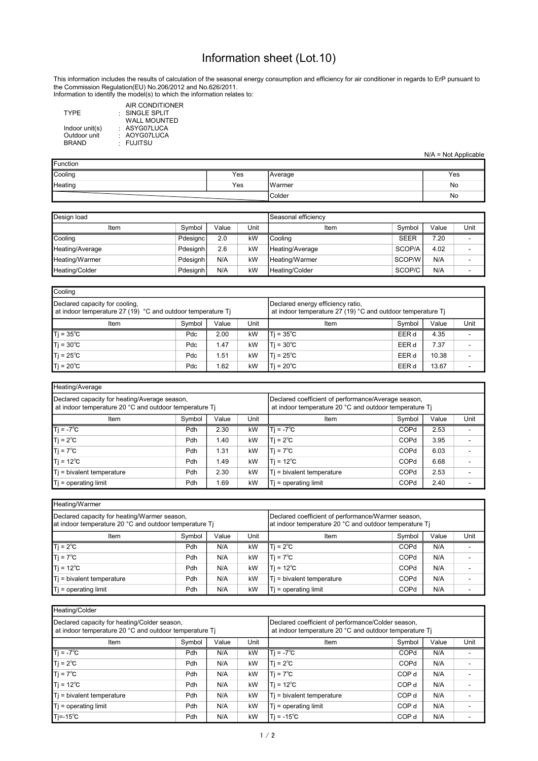## Information sheet (Lot.10)

This information includes the results of calculation of the seasonal energy consumption and efficiency for air conditioner in regards to ErP pursuant to the Commission Regulation(EU) No.206/2012 and No.626/2011. Information to identify the model(s) to which the information relates to:

|                | AIR CONDITIONER     |
|----------------|---------------------|
| <b>TYPF</b>    | SINGLE SPLIT        |
|                | <b>WALL MOUNTED</b> |
| Indoor unit(s) | : ASYG07LUCA        |
| Outdoor unit   | : AOYG07LUCA        |
| <b>BRAND</b>   | · FUJITSU           |
|                |                     |

|        | <b>WALL MOUNTED</b> |  |
|--------|---------------------|--|
| าit(s) | : ASYG07LUCA        |  |
| unit   | : AOYG07LUCA        |  |
|        | <b>ELLITELI</b>     |  |

N/A = Not Applicable

| <b>IFunction</b> |     |                |     |  |  |  |  |  |
|------------------|-----|----------------|-----|--|--|--|--|--|
| Cooling          | Yes | <b>Average</b> | Yes |  |  |  |  |  |
| Heating          | Yes | 'Warmer        | No  |  |  |  |  |  |
|                  |     | Colder         | No  |  |  |  |  |  |

| Design load     |                 |       |      | Seasonal efficiency |             |       |      |
|-----------------|-----------------|-------|------|---------------------|-------------|-------|------|
| Item            | Symbol          | Value | Unit | Item                | Symbol      | Value | Unit |
| Cooling         | <b>Pdesignc</b> | 2.0   | kW   | l Coolina           | <b>SEER</b> | 7.20  |      |
| Heating/Average | Pdesianh        | 2.6   | kW   | Heating/Average     | SCOP/A      | 4.02  |      |
| Heating/Warmer  | Pdesianh        | N/A   | kW   | Heating/Warmer      | SCOP/W      | N/A   |      |
| Heating/Colder  | Pdesignh        | N/A   | kW   | Heating/Colder      | SCOP/C      | N/A   |      |

| Cooling                                                                                       |        |       |      |                                                                                                  |       |       |  |  |  |  |  |  |
|-----------------------------------------------------------------------------------------------|--------|-------|------|--------------------------------------------------------------------------------------------------|-------|-------|--|--|--|--|--|--|
| Declared capacity for cooling,<br>at indoor temperature 27 (19) °C and outdoor temperature Ti |        |       |      | Declared energy efficiency ratio,<br>at indoor temperature 27 (19) °C and outdoor temperature Ti |       |       |  |  |  |  |  |  |
| Item                                                                                          | Symbol | Value | Unit | Value<br>Symbol<br>Item                                                                          |       |       |  |  |  |  |  |  |
| $Tj = 35^{\circ}C$                                                                            | Pdc    | 2.00  | kW   | ITi = 35°C                                                                                       | EER d | 4.35  |  |  |  |  |  |  |
| $Tj = 30^{\circ}C$                                                                            | Pdc    | 1.47  | kW   | $ T  = 30^{\circ}C$                                                                              | EER d | 7.37  |  |  |  |  |  |  |
| $Tj = 25^{\circ}C$                                                                            | Pdc    | 1.51  | kW   | Ti = 25℃                                                                                         | EER d | 10.38 |  |  |  |  |  |  |
| $T$ j = 20 $^{\circ}$ C                                                                       | Pdc    | 1.62  | kW   | ITi = 20°C                                                                                       | EER d | 13.67 |  |  |  |  |  |  |

| Heating/Average                                                                                         |        |       |      |                                                                                                               |        |       |      |
|---------------------------------------------------------------------------------------------------------|--------|-------|------|---------------------------------------------------------------------------------------------------------------|--------|-------|------|
| Declared capacity for heating/Average season,<br>at indoor temperature 20 °C and outdoor temperature Ti |        |       |      | Declared coefficient of performance/Average season,<br>at indoor temperature 20 °C and outdoor temperature Ti |        |       |      |
| Item                                                                                                    | Symbol | Value | Unit | Item                                                                                                          | Symbol | Value | Unit |
| $Ti = -7^{\circ}C$                                                                                      | Pdh    | 2.30  | kW   | Ti = -7°C                                                                                                     | COPd   | 2.53  |      |
| $T = 2^{\circ}C$                                                                                        | Pdh    | 1.40  | kW   | $ T  = 2^{\circ}C$                                                                                            | COPd   | 3.95  |      |
| $T_i = 7^{\circ}C$                                                                                      | Pdh    | 1.31  | kW   | $ T  = 7^{\circ}C$                                                                                            | COPd   | 6.03  |      |
| $T$ j = 12 $^{\circ}$ C                                                                                 | Pdh    | 1.49  | kW   | Ti = 12°C                                                                                                     | COPd   | 6.68  |      |
| Ti = bivalent temperature                                                                               | Pdh    | 2.30  | kW   | Ti = bivalent temperature                                                                                     | COPd   | 2.53  |      |
| $Ti =$ operating limit                                                                                  | Pdh    | 1.69  | kW   | Ti = operating limit                                                                                          | COPd   | 2.40  |      |

| Heating/Warmer                                                                                         |        |       |                                                                                                              |                           |        |       |      |  |  |  |  |
|--------------------------------------------------------------------------------------------------------|--------|-------|--------------------------------------------------------------------------------------------------------------|---------------------------|--------|-------|------|--|--|--|--|
| Declared capacity for heating/Warmer season,<br>at indoor temperature 20 °C and outdoor temperature Ti |        |       | Declared coefficient of performance/Warmer season,<br>at indoor temperature 20 °C and outdoor temperature Ti |                           |        |       |      |  |  |  |  |
| Item                                                                                                   | Symbol | Value | Unit                                                                                                         | Item                      | Symbol | Value | Unit |  |  |  |  |
| $Ti = 2^{\circ}C$                                                                                      | Pdh    | N/A   | kW                                                                                                           | $Ti = 2^{\circ}C$         | COPd   | N/A   |      |  |  |  |  |
| $Ti = 7^{\circ}C$                                                                                      | Pdh    | N/A   | kW                                                                                                           | $Ti = 7^{\circ}C$         | COPd   | N/A   |      |  |  |  |  |
| $Ti = 12^{\circ}C$                                                                                     | Pdh    | N/A   | kW                                                                                                           | $\mathsf{T}$ i = 12°C     | COPd   | N/A   |      |  |  |  |  |
| Ti = bivalent temperature                                                                              | Pdh    | N/A   | kW                                                                                                           | Ti = bivalent temperature | COPd   | N/A   |      |  |  |  |  |
| $Ti =$ operating limit                                                                                 | Pdh    | N/A   | kW                                                                                                           | $Ti =$ operating limit    | COPd   | N/A   |      |  |  |  |  |

| Heating/Colder                                                                                         |        |       |      |                                                                                                              |                  |       |      |
|--------------------------------------------------------------------------------------------------------|--------|-------|------|--------------------------------------------------------------------------------------------------------------|------------------|-------|------|
| Declared capacity for heating/Colder season,<br>at indoor temperature 20 °C and outdoor temperature Ti |        |       |      | Declared coefficient of performance/Colder season,<br>at indoor temperature 20 °C and outdoor temperature Ti |                  |       |      |
| Item                                                                                                   | Symbol | Value | Unit | Item                                                                                                         | Symbol           | Value | Unit |
| $Ti = -7^{\circ}C$                                                                                     | Pdh    | N/A   | kW   | $Ti = -7^{\circ}C$                                                                                           | COPd             | N/A   |      |
| $Tj = 2^{\circ}C$                                                                                      | Pdh    | N/A   | kW   | $T = 2^{\circ}C$                                                                                             | COPd             | N/A   |      |
| $Ti = 7^{\circ}C$                                                                                      | Pdh    | N/A   | kW   | $Ti = 7^{\circ}C$                                                                                            | COP <sub>d</sub> | N/A   |      |
| $T$ j = 12 $^{\circ}$ C                                                                                | Pdh    | N/A   | kW   | <sup>I</sup> Ti = 12℃                                                                                        | COP <sub>d</sub> | N/A   |      |
| $T$ = bivalent temperature                                                                             | Pdh    | N/A   | kW   | Ti = bivalent temperature                                                                                    | COP <sub>d</sub> | N/A   |      |
| $T$ = operating limit                                                                                  | Pdh    | N/A   | kW   | $Ti =$ operating limit                                                                                       | COP <sub>d</sub> | N/A   |      |
| $Tj = -15^{\circ}C$                                                                                    | Pdh    | N/A   | kW   | $T$ i = -15°C                                                                                                | COP <sub>d</sub> | N/A   |      |